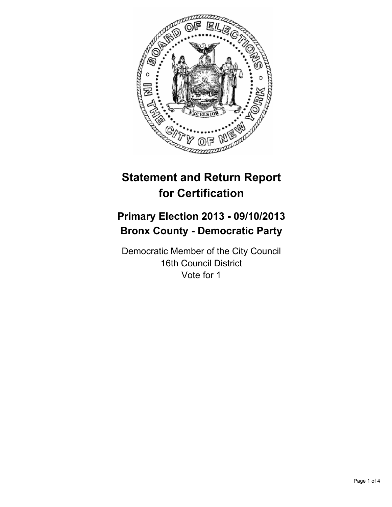

# **Statement and Return Report for Certification**

# **Primary Election 2013 - 09/10/2013 Bronx County - Democratic Party**

Democratic Member of the City Council 16th Council District Vote for 1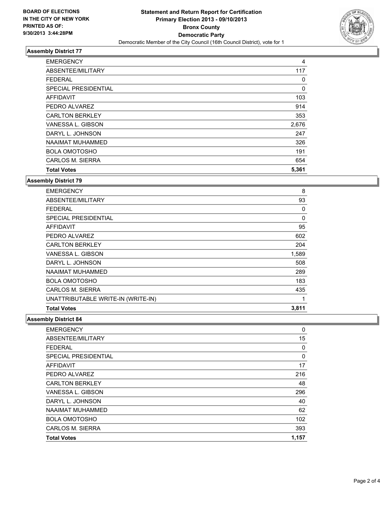

# **Assembly District 77**

| <b>EMERGENCY</b>       | 4     |
|------------------------|-------|
| ABSENTEE/MILITARY      | 117   |
| <b>FEDERAL</b>         | 0     |
| SPECIAL PRESIDENTIAL   | 0     |
| <b>AFFIDAVIT</b>       | 103   |
| PEDRO ALVAREZ          | 914   |
| <b>CARLTON BERKLEY</b> | 353   |
| VANESSA L. GIBSON      | 2,676 |
| DARYL L. JOHNSON       | 247   |
| NAAIMAT MUHAMMED       | 326   |
| <b>BOLA OMOTOSHO</b>   | 191   |
| CARLOS M. SIERRA       | 654   |
| <b>Total Votes</b>     | 5,361 |

### **Assembly District 79**

| <b>EMERGENCY</b>                   | 8        |
|------------------------------------|----------|
| ABSENTEE/MILITARY                  | 93       |
| <b>FEDERAL</b>                     | 0        |
| <b>SPECIAL PRESIDENTIAL</b>        | $\Omega$ |
| <b>AFFIDAVIT</b>                   | 95       |
| PEDRO ALVAREZ                      | 602      |
| <b>CARLTON BERKLEY</b>             | 204      |
| VANESSA L. GIBSON                  | 1,589    |
| DARYL L. JOHNSON                   | 508      |
| NAAIMAT MUHAMMED                   | 289      |
| <b>BOLA OMOTOSHO</b>               | 183      |
| CARLOS M. SIERRA                   | 435      |
| UNATTRIBUTABLE WRITE-IN (WRITE-IN) | 1        |
| <b>Total Votes</b>                 | 3,811    |

#### **Assembly District 84**

| <b>EMERGENCY</b>       | 0     |
|------------------------|-------|
| ABSENTEE/MILITARY      | 15    |
| <b>FEDERAL</b>         | 0     |
| SPECIAL PRESIDENTIAL   | 0     |
| AFFIDAVIT              | 17    |
| PEDRO ALVAREZ          | 216   |
| <b>CARLTON BERKLEY</b> | 48    |
| VANESSA L. GIBSON      | 296   |
| DARYL L. JOHNSON       | 40    |
| NAAIMAT MUHAMMED       | 62    |
| <b>BOLA OMOTOSHO</b>   | 102   |
| CARLOS M. SIERRA       | 393   |
| <b>Total Votes</b>     | 1,157 |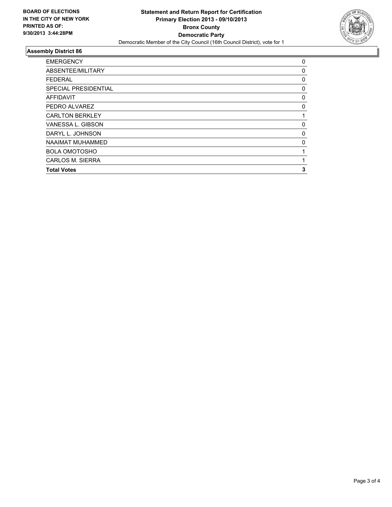

# **Assembly District 86**

| <b>EMERGENCY</b>        | 0        |
|-------------------------|----------|
| ABSENTEE/MILITARY       | 0        |
| <b>FEDERAL</b>          | 0        |
| SPECIAL PRESIDENTIAL    | 0        |
| AFFIDAVIT               | 0        |
| PEDRO ALVAREZ           | 0        |
| <b>CARLTON BERKLEY</b>  | 1        |
| VANESSA L. GIBSON       | $\Omega$ |
| DARYL L. JOHNSON        | 0        |
| NAAIMAT MUHAMMED        | $\Omega$ |
| <b>BOLA OMOTOSHO</b>    | 1        |
| <b>CARLOS M. SIERRA</b> | 1        |
| <b>Total Votes</b>      | 3        |